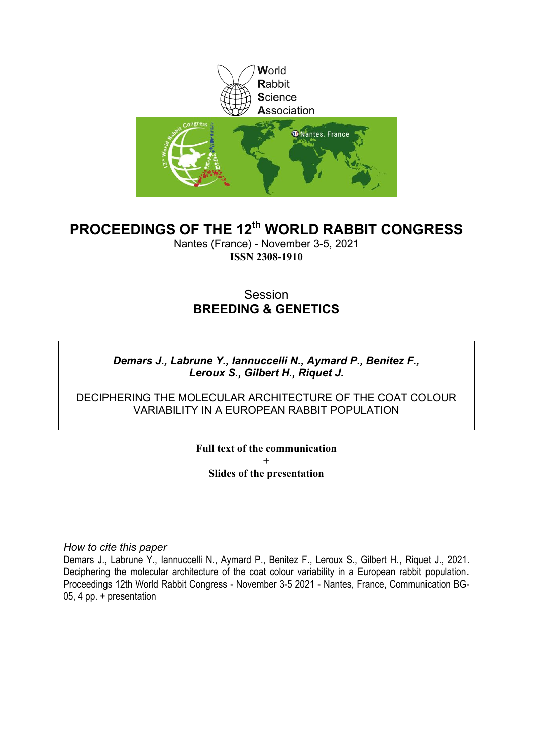

# **PROCEEDINGS OF THE 12th WORLD RABBIT CONGRESS**

Nantes (France) - November 3-5, 2021 **ISSN 2308-1910**

# Session **BREEDING & GENETICS**

### *Demars J., Labrune Y., Iannuccelli N., Aymard P., Benitez F., Leroux S., Gilbert H., Riquet J.*

#### DECIPHERING THE MOLECULAR ARCHITECTURE OF THE COAT COLOUR VARIABILITY IN A FUROPFAN RABBIT POPULATION

**Full text of the communication + Slides of the presentation**

*How to cite this paper*

Demars J., Labrune Y., Iannuccelli N., Aymard P., Benitez F., Leroux S., Gilbert H., Riquet J., 2021. Deciphering the molecular architecture of the coat colour variability in a European rabbit population. Proceedings 12th World Rabbit Congress - November 3-5 2021 - Nantes, France, Communication BG-05, 4 pp. + presentation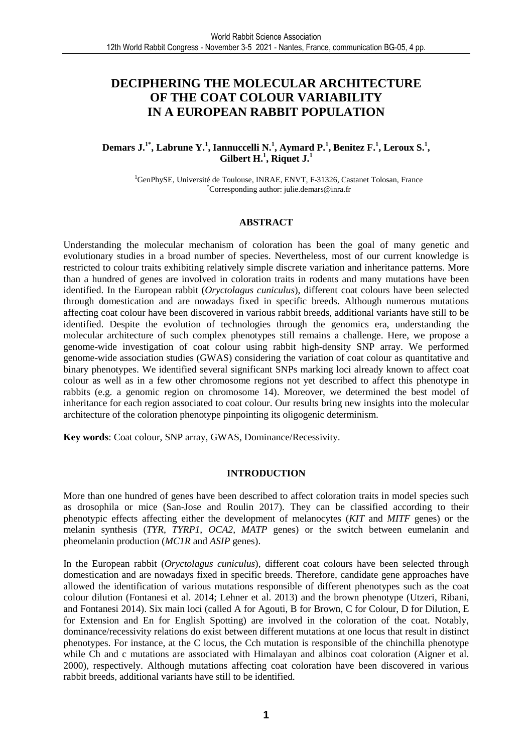## **DECIPHERING THE MOLECULAR ARCHITECTURE OF THE COAT COLOUR VARIABILITY IN A EUROPEAN RABBIT POPULATION**

#### **Demars J.1\*, Labrune Y.<sup>1</sup> , Iannuccelli N.<sup>1</sup> , Aymard P.<sup>1</sup> , Benitez F.<sup>1</sup> , Leroux S.<sup>1</sup> , Gilbert H.<sup>1</sup> , Riquet J.<sup>1</sup>**

<sup>1</sup>GenPhySE, Université de Toulouse, INRAE, ENVT, F-31326, Castanet Tolosan, France \*Corresponding author: julie.demars@inra.fr

#### **ABSTRACT**

Understanding the molecular mechanism of coloration has been the goal of many genetic and evolutionary studies in a broad number of species. Nevertheless, most of our current knowledge is restricted to colour traits exhibiting relatively simple discrete variation and inheritance patterns. More than a hundred of genes are involved in coloration traits in rodents and many mutations have been identified. In the European rabbit (*Oryctolagus cuniculus*), different coat colours have been selected through domestication and are nowadays fixed in specific breeds. Although numerous mutations affecting coat colour have been discovered in various rabbit breeds, additional variants have still to be identified. Despite the evolution of technologies through the genomics era, understanding the molecular architecture of such complex phenotypes still remains a challenge. Here, we propose a genome-wide investigation of coat colour using rabbit high-density SNP array. We performed genome-wide association studies (GWAS) considering the variation of coat colour as quantitative and binary phenotypes. We identified several significant SNPs marking loci already known to affect coat colour as well as in a few other chromosome regions not yet described to affect this phenotype in rabbits (e.g. a genomic region on chromosome 14). Moreover, we determined the best model of inheritance for each region associated to coat colour. Our results bring new insights into the molecular architecture of the coloration phenotype pinpointing its oligogenic determinism.

**Key words**: Coat colour, SNP array, GWAS, Dominance/Recessivity.

#### **INTRODUCTION**

More than one hundred of genes have been described to affect coloration traits in model species such as drosophila or mice (San-Jose and Roulin 2017). They can be classified according to their phenotypic effects affecting either the development of melanocytes (*KIT* and *MITF* genes) or the melanin synthesis (*TYR*, *TYRP1*, *OCA2*, *MATP* genes) or the switch between eumelanin and pheomelanin production (*MC1R* and *ASIP* genes).

In the European rabbit (*Oryctolagus cuniculus*), different coat colours have been selected through domestication and are nowadays fixed in specific breeds. Therefore, candidate gene approaches have allowed the identification of various mutations responsible of different phenotypes such as the coat colour dilution (Fontanesi et al. 2014; Lehner et al. 2013) and the brown phenotype (Utzeri, Ribani, and Fontanesi 2014). Six main loci (called A for Agouti, B for Brown, C for Colour, D for Dilution, E for Extension and En for English Spotting) are involved in the coloration of the coat. Notably, dominance/recessivity relations do exist between different mutations at one locus that result in distinct phenotypes. For instance, at the C locus, the Cch mutation is responsible of the chinchilla phenotype while Ch and c mutations are associated with Himalayan and albinos coat coloration (Aigner et al. 2000), respectively. Although mutations affecting coat coloration have been discovered in various rabbit breeds, additional variants have still to be identified.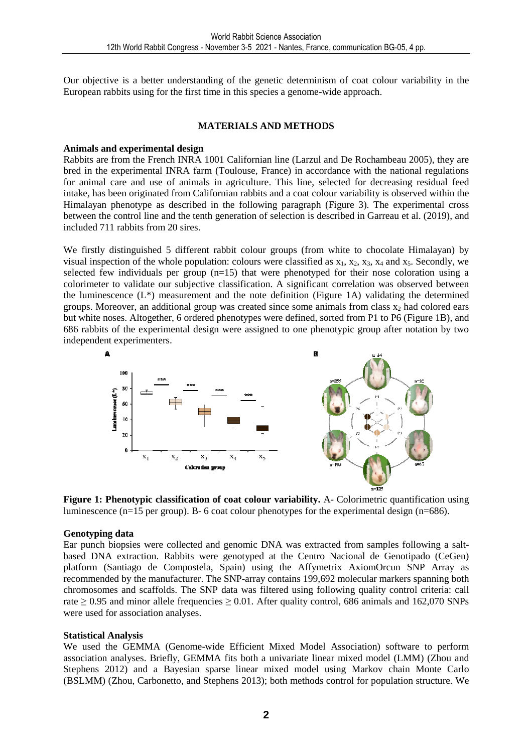Our objective is a better understanding of the genetic determinism of coat colour variability in the European rabbits using for the first time in this species a genome-wide approach.

#### **MATERIALS AND METHODS**

#### **Animals and experimental design**

Rabbits are from the French INRA 1001 Californian line (Larzul and De Rochambeau 2005), they are bred in the experimental INRA farm (Toulouse, France) in accordance with the national regulations for animal care and use of animals in agriculture. This line, selected for decreasing residual feed intake, has been originated from Californian rabbits and a coat colour variability is observed within the Himalayan phenotype as described in the following paragraph (Figure 3). The experimental cross between the control line and the tenth generation of selection is described in Garreau et al. (2019), and included 711 rabbits from 20 sires.

We firstly distinguished 5 different rabbit colour groups (from white to chocolate Himalayan) by visual inspection of the whole population: colours were classified as  $x_1, x_2, x_3, x_4$  and  $x_5$ . Secondly, we selected few individuals per group (n=15) that were phenotyped for their nose coloration using a colorimeter to validate our subjective classification. A significant correlation was observed between the luminescence (L\*) measurement and the note definition (Figure 1A) validating the determined groups. Moreover, an additional group was created since some animals from class  $x_2$  had colored ears but white noses. Altogether, 6 ordered phenotypes were defined, sorted from P1 to P6 (Figure 1B), and 686 rabbits of the experimental design were assigned to one phenotypic group after notation by two independent experimenters.



**Figure 1: Phenotypic classification of coat colour variability.** A- Colorimetric quantification using luminescence (n=15 per group). B- 6 coat colour phenotypes for the experimental design (n=686).

#### **Genotyping data**

Ear punch biopsies were collected and genomic DNA was extracted from samples following a saltbased DNA extraction. Rabbits were genotyped at the Centro Nacional de Genotipado (CeGen) platform (Santiago de Compostela, Spain) using the Affymetrix AxiomOrcun SNP Array as recommended by the manufacturer. The SNP-array contains 199,692 molecular markers spanning both chromosomes and scaffolds. The SNP data was filtered using following quality control criteria: call rate  $\geq$  0.95 and minor allele frequencies  $\geq$  0.01. After quality control, 686 animals and 162,070 SNPs were used for association analyses.

#### **Statistical Analysis**

We used the GEMMA (Genome-wide Efficient Mixed Model Association) software to perform association analyses. Briefly, GEMMA fits both a univariate linear mixed model (LMM) (Zhou and Stephens 2012) and a Bayesian sparse linear mixed model using Markov chain Monte Carlo (BSLMM) (Zhou, Carbonetto, and Stephens 2013); both methods control for population structure. We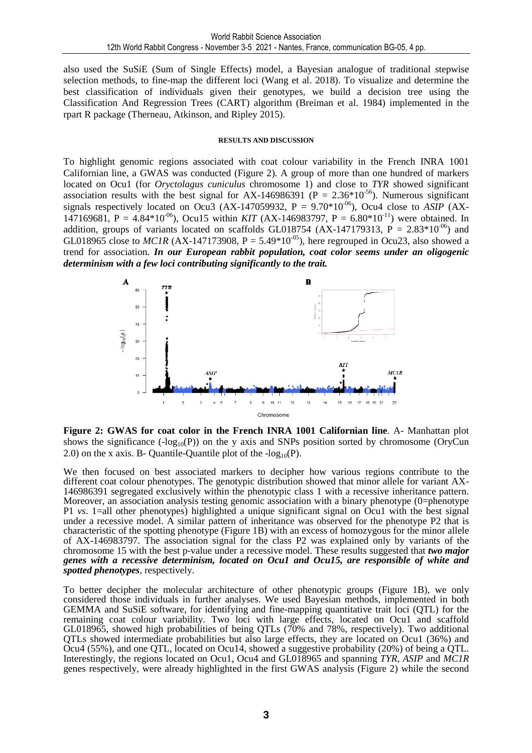also used the SuSiE (Sum of Single Effects) model, a Bayesian analogue of traditional stepwise selection methods, to fine-map the different loci (Wang et al. 2018). To visualize and determine the best classification of individuals given their genotypes, we build a decision tree using the Classification And Regression Trees (CART) algorithm (Breiman et al. 1984) implemented in the rpart R package (Therneau, Atkinson, and Ripley 2015).

#### **RESULTS AND DISCUSSION**

To highlight genomic regions associated with coat colour variability in the French INRA 1001 Californian line, a GWAS was conducted (Figure 2). A group of more than one hundred of markers located on Ocu1 (for *Oryctolagus cuniculus* chromosome 1) and close to *TYR* showed significant association results with the best signal for AX-146986391 ( $P = 2.36*10^{-56}$ ). Numerous significant signals respectively located on Ocu3 (AX-147059932,  $P = 9.70*10^{-06}$ ), Ocu4 close to *ASIP* (AX-147169681, P = 4.84\*10<sup>-06</sup>), Ocu15 within *KIT* (AX-146983797, P = 6.80\*10<sup>-11</sup>) were obtained. In addition, groups of variants located on scaffolds GL018754 (AX-147179313,  $P = 2.83*10^{-06}$ ) and GL018965 close to *MC1R* (AX-147173908, P = 5.49\*10<sup>-05</sup>), here regrouped in Ocu23, also showed a trend for association. *In our European rabbit population, coat color seems under an oligogenic determinism with a few loci contributing significantly to the trait.*



**Figure 2: GWAS for coat color in the French INRA 1001 Californian line**. A- Manhattan plot shows the significance ( $-log_{10}(P)$ ) on the y axis and SNPs position sorted by chromosome (OryCun 2.0) on the x axis. B- Quantile-Quantile plot of the  $-log_{10}(P)$ .

We then focused on best associated markers to decipher how various regions contribute to the different coat colour phenotypes. The genotypic distribution showed that minor allele for variant AX-146986391 segregated exclusively within the phenotypic class 1 with a recessive inheritance pattern. Moreover, an association analysis testing genomic association with a binary phenotype (0=phenotype P1 *vs*. 1=all other phenotypes) highlighted a unique significant signal on Ocu1 with the best signal under a recessive model. A similar pattern of inheritance was observed for the phenotype P2 that is characteristic of the spotting phenotype (Figure 1B) with an excess of homozygous for the minor allele of AX-146983797. The association signal for the class P2 was explained only by variants of the chromosome 15 with the best p-value under a recessive model. These results suggested that *two major genes with a recessive determinism, located on Ocu1 and Ocu15, are responsible of white and spotted phenotypes*, respectively.

To better decipher the molecular architecture of other phenotypic groups (Figure 1B), we only considered those individuals in further analyses. We used Bayesian methods, implemented in both GEMMA and SuSiE software, for identifying and fine-mapping quantitative trait loci (QTL) for the remaining coat colour variability. Two loci with large effects, located on Ocu1 and scaffold GL018965, showed high probabilities of being QTLs (70% and 78%, respectively). Two additional QTLs showed intermediate probabilities but also large effects, they are located on Ocu1 (36%) and Ocu4 (55%), and one QTL, located on Ocu14, showed a suggestive probability (20%) of being a QTL. Interestingly, the regions located on Ocu1, Ocu4 and GL018965 and spanning *TYR*, *ASIP* and *MC1R* genes respectively, were already highlighted in the first GWAS analysis (Figure 2) while the second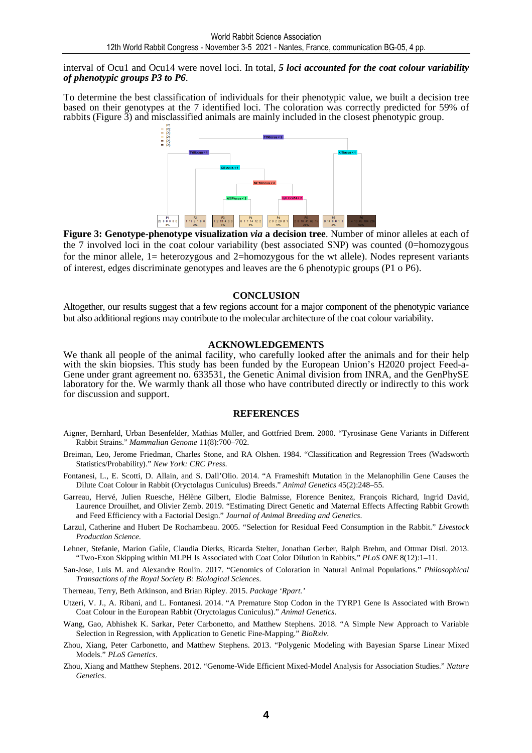interval of Ocu1 and Ocu14 were novel loci. In total, *5 loci accounted for the coat colour variability of phenotypic groups P3 to P6*.

To determine the best classification of individuals for their phenotypic value, we built a decision tree based on their genotypes at the 7 identified loci. The coloration was correctly predicted for 59% of rabbits (Figure 3) and misclassified animals are mainly included in the closest phenotypic group.



**Figure 3: Genotype-phenotype visualization** *via* **a decision tree**. Number of minor alleles at each of the 7 involved loci in the coat colour variability (best associated SNP) was counted (0=homozygous for the minor allele, 1= heterozygous and 2=homozygous for the wt allele). Nodes represent variants of interest, edges discriminate genotypes and leaves are the 6 phenotypic groups (P1 o P6).

#### **CONCLUSION**

Altogether, our results suggest that a few regions account for a major component of the phenotypic variance but also additional regions may contribute to the molecular architecture of the coat colour variability.

#### **ACKNOWLEDGEMENTS**

We thank all people of the animal facility, who carefully looked after the animals and for their help with the skin biopsies. This study has been funded by the European Union's H2020 project Feed-a-Gene under grant agreement no. 633531, the Genetic Animal division from INRA, and the GenPhySE laboratory for the. We warmly thank all those who have contributed directly or indirectly to this work for discussion and support.

#### **REFERENCES**

- Aigner, Bernhard, Urban Besenfelder, Mathias Müller, and Gottfried Brem. 2000. "Tyrosinase Gene Variants in Different Rabbit Strains." *Mammalian Genome* 11(8):700–702.
- Breiman, Leo, Jerome Friedman, Charles Stone, and RA Olshen. 1984. "Classification and Regression Trees (Wadsworth Statistics/Probability)." *New York: CRC Press*.
- Fontanesi, L., E. Scotti, D. Allain, and S. Dall'Olio. 2014. "A Frameshift Mutation in the Melanophilin Gene Causes the Dilute Coat Colour in Rabbit (Oryctolagus Cuniculus) Breeds." *Animal Genetics* 45(2):248–55.
- Garreau, Hervé, Julien Ruesche, Hélène Gilbert, Elodie Balmisse, Florence Benitez, François Richard, Ingrid David, Laurence Drouilhet, and Olivier Zemb. 2019. "Estimating Direct Genetic and Maternal Effects Affecting Rabbit Growth and Feed Efficiency with a Factorial Design." *Journal of Animal Breeding and Genetics*.
- Larzul, Catherine and Hubert De Rochambeau. 2005. "Selection for Residual Feed Consumption in the Rabbit." *Livestock Production Science*.
- Lehner, Stefanie, Marion Gaḧle, Claudia Dierks, Ricarda Stelter, Jonathan Gerber, Ralph Brehm, and Ottmar Distl. 2013. "Two-Exon Skipping within MLPH Is Associated with Coat Color Dilution in Rabbits." *PLoS ONE* 8(12):1–11.
- San-Jose, Luis M. and Alexandre Roulin. 2017. "Genomics of Coloration in Natural Animal Populations." *Philosophical Transactions of the Royal Society B: Biological Sciences*.
- Therneau, Terry, Beth Atkinson, and Brian Ripley. 2015. *Package 'Rpart.'*
- Utzeri, V. J., A. Ribani, and L. Fontanesi. 2014. "A Premature Stop Codon in the TYRP1 Gene Is Associated with Brown Coat Colour in the European Rabbit (Oryctolagus Cuniculus)." *Animal Genetics*.
- Wang, Gao, Abhishek K. Sarkar, Peter Carbonetto, and Matthew Stephens. 2018. "A Simple New Approach to Variable Selection in Regression, with Application to Genetic Fine-Mapping." *BioRxiv*.
- Zhou, Xiang, Peter Carbonetto, and Matthew Stephens. 2013. "Polygenic Modeling with Bayesian Sparse Linear Mixed Models." *PLoS Genetics*.
- Zhou, Xiang and Matthew Stephens. 2012. "Genome-Wide Efficient Mixed-Model Analysis for Association Studies." *Nature Genetics*.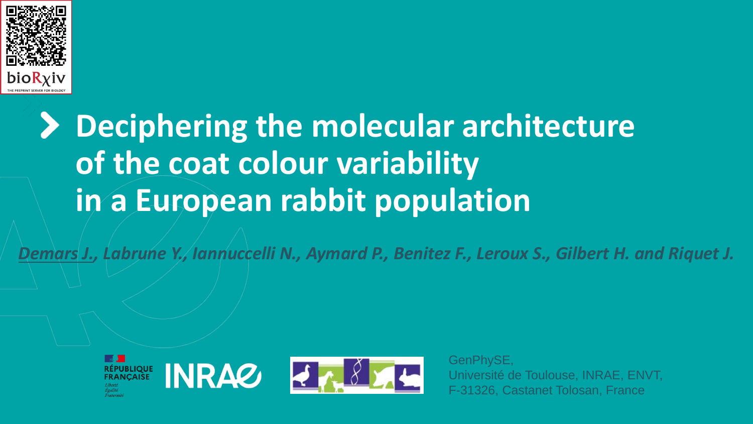

# **Deciphering the molecular architecture of the coat colour variability in a European rabbit population**

*Demars J., Labrune Y., Iannuccelli N., Aymard P., Benitez F., Leroux S., Gilbert H. and Riquet J.*



GenPhySE, Université de Toulouse, INRAE, ENVT, F-31326, Castanet Tolosan, France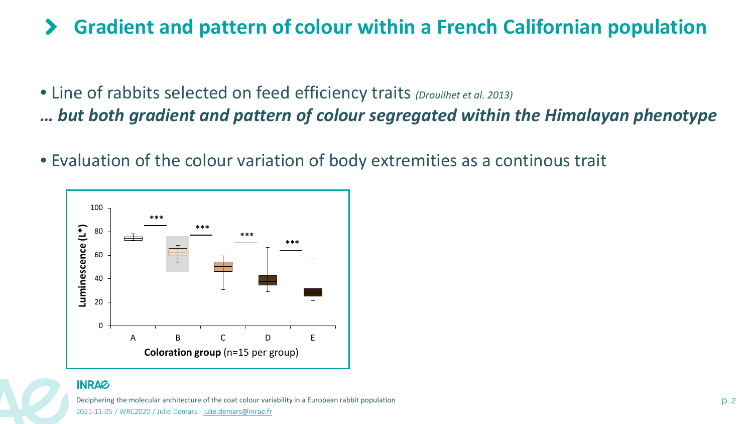#### **Gradient and pattern of colour within a French Californian population**  $\blacktriangleright$

- Line of rabbits selected on feed efficiency traits *(Drouilhet et al. 2013) … but both gradient and pattern of colour segregated within the Himalayan phenotype*
- Evaluation of the colour variation of body extremities as a continous trait



## **INRAG**

Deciphering the molecular architecture of the coat colour variability in a European rabbit population p. 2 2021-11-05 / WRC2020 / Julie Demars - [julie.demars@inrae.fr](mailto:julie.demars@inrae.fr)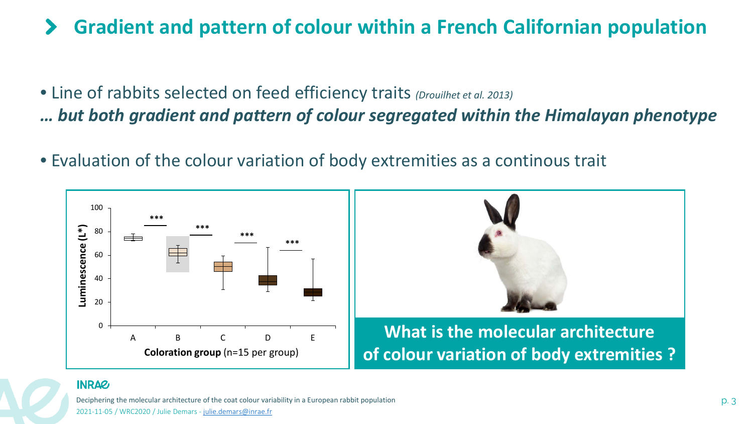### **Gradient and pattern of colour within a French Californian population**  $\blacktriangleright$

- Line of rabbits selected on feed efficiency traits *(Drouilhet et al. 2013) … but both gradient and pattern of colour segregated within the Himalayan phenotype*
- Evaluation of the colour variation of body extremities as a continous trait



# **INRAZ**

Deciphering the molecular architecture of the coat colour variability in a European rabbit population p. 3 2021-11-05 / WRC2020 / Julie Demars - [julie.demars@inrae.fr](mailto:julie.demars@inrae.fr)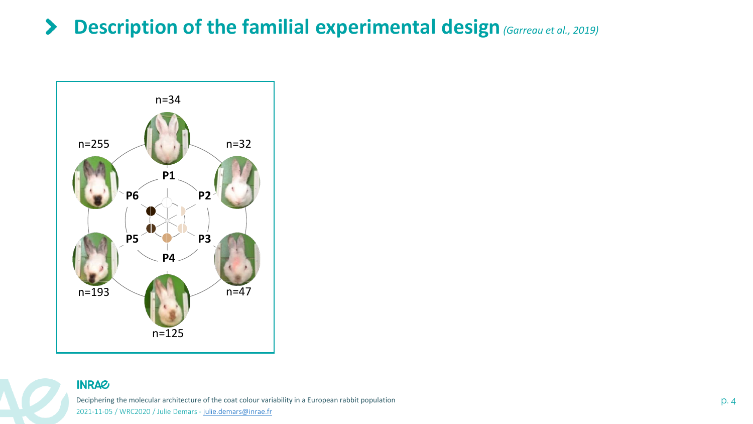#### **Description of the familial experimental design***(Garreau et al., 2019)*  $\blacktriangleright$



# **INRAG**

Deciphering the molecular architecture of the coat colour variability in a European rabbit population p. 4 2021-11-05 / WRC2020 / Julie Demars - [julie.demars@inrae.fr](mailto:julie.demars@inrae.fr)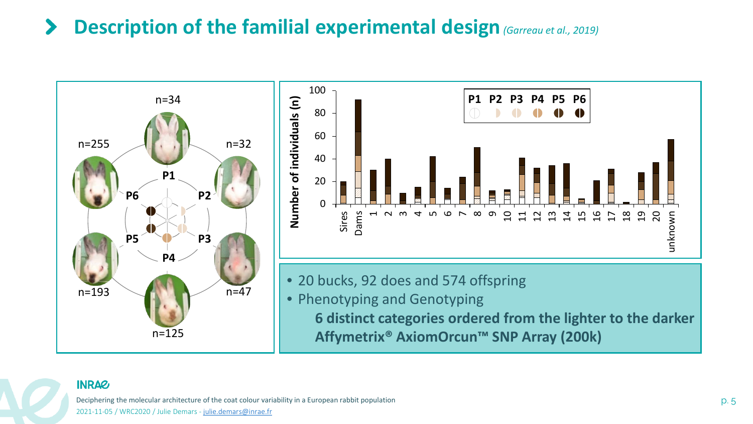#### **Description of the familial experimental design***(Garreau et al., 2019)*  $\blacktriangleright$



# **INRAG**

Deciphering the molecular architecture of the coat colour variability in a European rabbit population p. 5 p. 5 2021-11-05 / WRC2020 / Julie Demars - [julie.demars@inrae.fr](mailto:julie.demars@inrae.fr)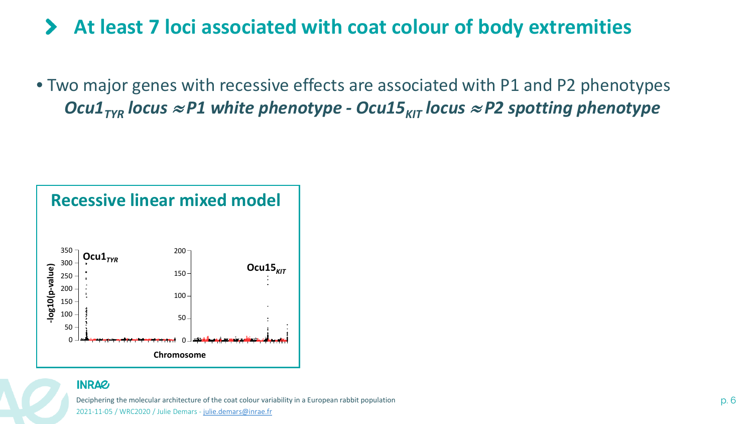#### **At least 7 loci associated with coat colour of body extremities**  $\blacktriangleright$

• Two major genes with recessive effects are associated with P1 and P2 phenotypes *Ocu1<sub>TYR</sub> locus* ≈ *P1* white phenotype - Ocu15<sub>KIT</sub> locus ≈ P2 spotting phenotype



# **INRAG**

Deciphering the molecular architecture of the coat colour variability in a European rabbit population p. 6 p. 6 2021-11-05 / WRC2020 / Julie Demars - [julie.demars@inrae.fr](mailto:julie.demars@inrae.fr)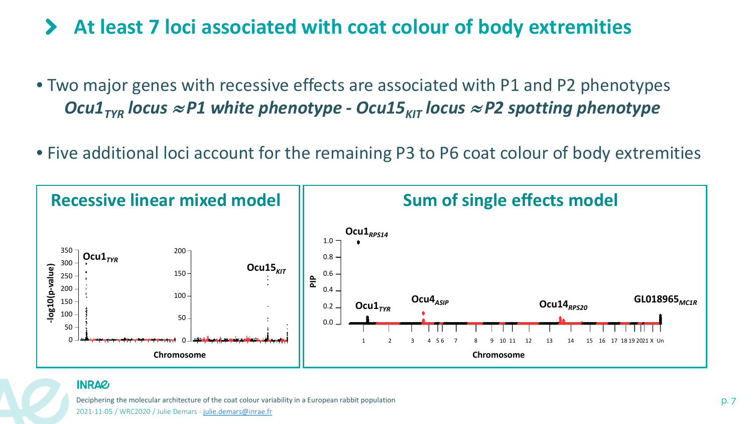# **At least 7 loci associated with coat colour of body extremities**

- Two major genes with recessive effects are associated with P1 and P2 phenotypes *Ocu1<sub>TYR</sub> locus* ≈ *P1* white phenotype - Ocu15<sub>KIT</sub> locus ≈ P2 spotting phenotype
- Five additional loci account for the remaining P3 to P6 coat colour of body extremities



### **INRAG**

Deciphering the molecular architecture of the coat colour variability in a European rabbit population p. 7 p. 7 2021-11-05 / WRC2020 / Julie Demars - [julie.demars@inrae.fr](mailto:julie.demars@inrae.fr)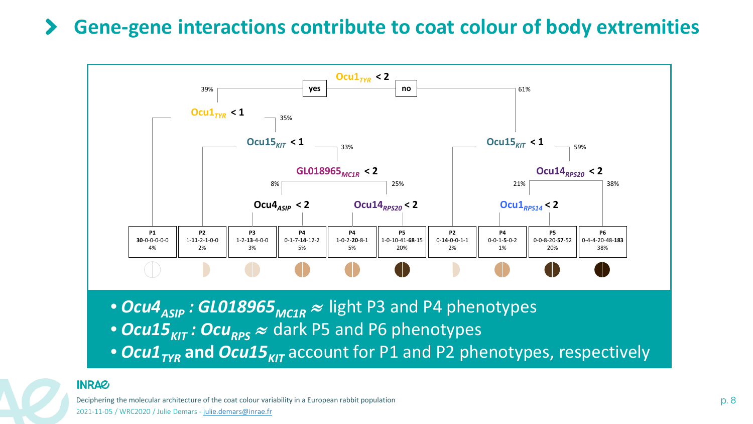# **Gene-gene interactions contribute to coat colour of body extremities**



- *Ocu15<sub>KIT</sub> : Ocu<sub>RPS</sub>* ≈ dark P5 and P6 phenotypes
- *Ocu1<sub>TVR</sub>* and *Ocu15<sub>KIT</sub>* account for P1 and P2 phenotypes, respectively

# **INRAG**

Deciphering the molecular architecture of the coat colour variability in a European rabbit population p. 8 p. 8 2021-11-05 / WRC2020 / Julie Demars - [julie.demars@inrae.fr](mailto:julie.demars@inrae.fr)